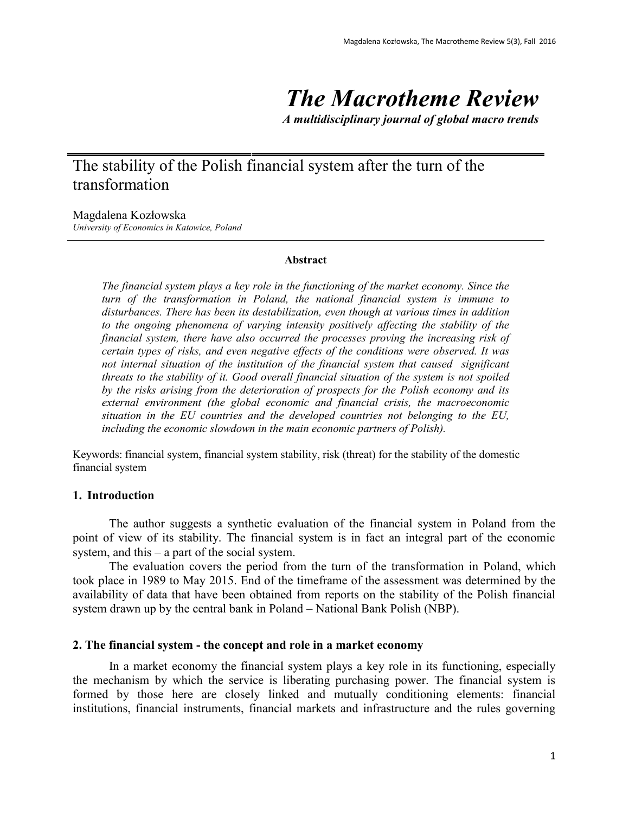# *The Macrotheme Review*

*A multidisciplinary journal of global macro trends*

# The stability of the Polish financial system after the turn of the transformation

Magdalena Kozłowska

*University of Economics in Katowice, Poland*

#### **Abstract**

*The financial system plays a key role in the functioning of the market economy. Since the turn of the transformation in Poland, the national financial system is immune to disturbances. There has been its destabilization, even though at various times in addition to the ongoing phenomena of varying intensity positively affecting the stability of the financial system, there have also occurred the processes proving the increasing risk of certain types of risks, and even negative effects of the conditions were observed. It was not internal situation of the institution of the financial system that caused significant threats to the stability of it. Good overall financial situation of the system is not spoiled by the risks arising from the deterioration of prospects for the Polish economy and its external environment (the global economic and financial crisis, the macroeconomic situation in the EU countries and the developed countries not belonging to the EU, including the economic slowdown in the main economic partners of Polish).*

Keywords: financial system, financial system stability, risk (threat) for the stability of the domestic financial system

# **1. Introduction**

The author suggests a synthetic evaluation of the financial system in Poland from the point of view of its stability. The financial system is in fact an integral part of the economic system, and this – a part of the social system.

The evaluation covers the period from the turn of the transformation in Poland, which took place in 1989 to May 2015. End of the timeframe of the assessment was determined by the availability of data that have been obtained from reports on the stability of the Polish financial system drawn up by the central bank in Poland – National Bank Polish (NBP).

# **2. The financial system - the concept and role in a market economy**

In a market economy the financial system plays a key role in its functioning, especially the mechanism by which the service is liberating purchasing power. The financial system is formed by those here are closely linked and mutually conditioning elements: financial institutions, financial instruments, financial markets and infrastructure and the rules governing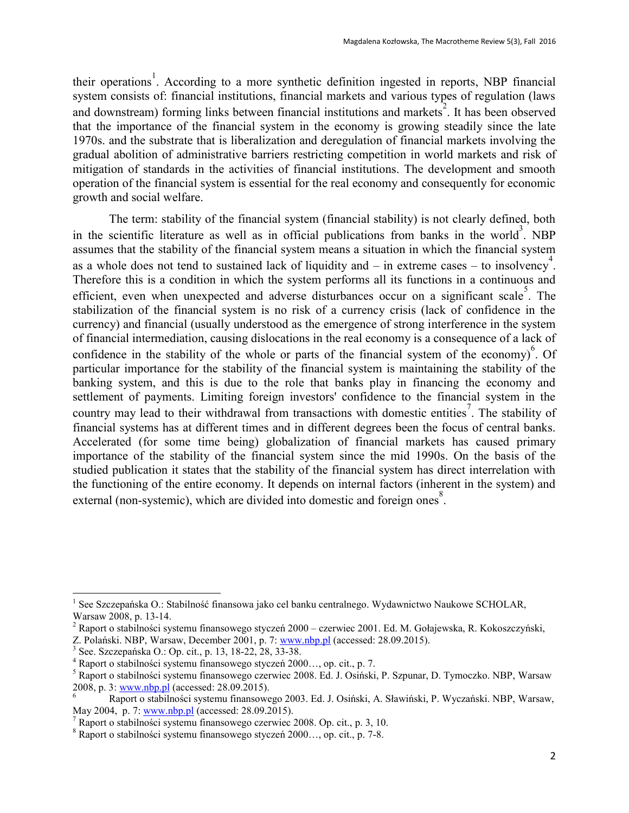their operations<sup>1</sup>. According to a more synthetic definition ingested in reports, NBP financial system consists of: financial institutions, financial markets and various types of regulation (laws and downstream) forming links between financial institutions and markets<sup>2</sup>. It has been observed that the importance of the financial system in the economy is growing steadily since the late 1970s. and the substrate that is liberalization and deregulation of financial markets involving the gradual abolition of administrative barriers restricting competition in world markets and risk of mitigation of standards in the activities of financial institutions. The development and smooth operation of the financial system is essential for the real economy and consequently for economic growth and social welfare.

The term: stability of the financial system (financial stability) is not clearly defined, both in the scientific literature as well as in official publications from banks in the world<sup>3</sup>. NBP assumes that the stability of the financial system means a situation in which the financial system as a whole does not tend to sustained lack of liquidity and  $-$  in extreme cases  $-$  to insolvency<sup>4</sup>. Therefore this is a condition in which the system performs all its functions in a continuous and efficient, even when unexpected and adverse disturbances occur on a significant scale. The stabilization of the financial system is no risk of a currency crisis (lack of confidence in the currency) and financial (usually understood as the emergence of strong interference in the system of financial intermediation, causing dislocations in the real economy is a consequence of a lack of confidence in the stability of the whole or parts of the financial system of the economy)<sup>6</sup>. Of particular importance for the stability of the financial system is maintaining the stability of the banking system, and this is due to the role that banks play in financing the economy and settlement of payments. Limiting foreign investors' confidence to the financial system in the country may lead to their withdrawal from transactions with domestic entities<sup>7</sup>. The stability of financial systems has at different times and in different degrees been the focus of central banks. Accelerated (for some time being) globalization of financial markets has caused primary importance of the stability of the financial system since the mid 1990s. On the basis of the studied publication it states that the stability of the financial system has direct interrelation with the functioning of the entire economy. It depends on internal factors (inherent in the system) and external (non-systemic), which are divided into domestic and foreign ones<sup>8</sup>.

<sup>&</sup>lt;sup>1</sup> See Szczepańska O.: Stabilność finansowa jako cel banku centralnego. Wydawnictwo Naukowe SCHOLAR, Warsaw 2008, p. 13-14.

<sup>&</sup>lt;sup>2</sup> Raport o stabilności systemu finansowego styczeń 2000 – czerwiec 2001. Ed. M. Gołajewska, R. Kokoszczyński, Z. Polański. NBP, Warsaw, December 2001, p. 7[: www.nbp.pl](http://www.nbp.pl/) (accessed: 28.09.2015).

<sup>3</sup> See. Szczepańska O.: Op. cit., p. 13, 18-22, 28, 33-38.

<sup>4</sup> Raport o stabilności systemu finansowego styczeń 2000…, op. cit., p. 7.

<sup>5</sup> Raport o stabilności systemu finansowego czerwiec 2008. Ed. J. Osiński, P. Szpunar, D. Tymoczko. NBP, Warsaw 2008, p. 3: [www.nbp.pl](http://www.nbp.pl/) (accessed: 28.09.2015).

<sup>6</sup> Raport o stabilności systemu finansowego 2003. Ed. J. Osiński, A. Sławiński, P. Wyczański. NBP, Warsaw, May 2004, p. 7[: www.nbp.pl](http://www.nbp.pl/) (accessed: 28.09.2015).

 $^7$  Raport o stabilności systemu finansowego czerwiec 2008. Op. cit., p. 3, 10.

<sup>8</sup> Raport o stabilności systemu finansowego styczeń 2000…, op. cit., p. 7-8.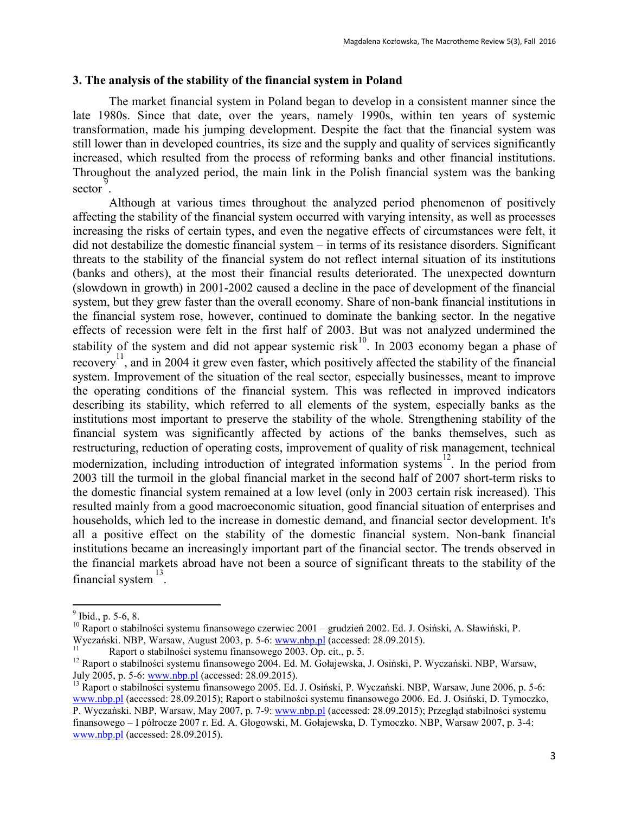### **3. The analysis of the stability of the financial system in Poland**

The market financial system in Poland began to develop in a consistent manner since the late 1980s. Since that date, over the years, namely 1990s, within ten years of systemic transformation, made his jumping development. Despite the fact that the financial system was still lower than in developed countries, its size and the supply and quality of services significantly increased, which resulted from the process of reforming banks and other financial institutions. Throughout the analyzed period, the main link in the Polish financial system was the banking  $\sec \theta$ .

Although at various times throughout the analyzed period phenomenon of positively affecting the stability of the financial system occurred with varying intensity, as well as processes increasing the risks of certain types, and even the negative effects of circumstances were felt, it did not destabilize the domestic financial system – in terms of its resistance disorders. Significant threats to the stability of the financial system do not reflect internal situation of its institutions (banks and others), at the most their financial results deteriorated. The unexpected downturn (slowdown in growth) in 2001-2002 caused a decline in the pace of development of the financial system, but they grew faster than the overall economy. Share of non-bank financial institutions in the financial system rose, however, continued to dominate the banking sector. In the negative effects of recession were felt in the first half of 2003. But was not analyzed undermined the stability of the system and did not appear systemic risk<sup>10</sup>. In 2003 economy began a phase of recovery<sup>11</sup>, and in 2004 it grew even faster, which positively affected the stability of the financial system. Improvement of the situation of the real sector, especially businesses, meant to improve the operating conditions of the financial system. This was reflected in improved indicators describing its stability, which referred to all elements of the system, especially banks as the institutions most important to preserve the stability of the whole. Strengthening stability of the financial system was significantly affected by actions of the banks themselves, such as restructuring, reduction of operating costs, improvement of quality of risk management, technical modernization, including introduction of integrated information systems<sup>12</sup>. In the period from 2003 till the turmoil in the global financial market in the second half of 2007 short-term risks to the domestic financial system remained at a low level (only in 2003 certain risk increased). This resulted mainly from a good macroeconomic situation, good financial situation of enterprises and households, which led to the increase in domestic demand, and financial sector development. It's all a positive effect on the stability of the domestic financial system. Non-bank financial institutions became an increasingly important part of the financial sector. The trends observed in the financial markets abroad have not been a source of significant threats to the stability of the financial system  $^{13}$ .

<sup>&</sup>lt;sup>9</sup> Ibid., p. 5-6, 8.

<sup>&</sup>lt;sup>10</sup> Raport o stabilności systemu finansowego czerwiec 2001 – grudzień 2002. Ed. J. Osiński, A. Sławiński, P. Wyczański. NBP, Warsaw, August 2003, p. 5-6[: www.nbp.pl](http://www.nbp.pl/) (accessed: 28.09.2015).

Raport o stabilności systemu finansowego 2003. Op. cit., p. 5.

<sup>12</sup> Raport o stabilności systemu finansowego 2004. Ed. M. Gołajewska, J. Osiński, P. Wyczański. NBP, Warsaw, July 2005, p. 5-6[: www.nbp.pl](http://www.nbp.pl/) (accessed: 28.09.2015).

<sup>&</sup>lt;sup>13</sup> Raport o stabilności systemu finansowego 2005. Ed. J. Osiński, P. Wyczański. NBP, Warsaw, June 2006, p. 5-6: [www.nbp.pl](http://www.nbp.pl/) (accessed: 28.09.2015); Raport o stabilności systemu finansowego 2006. Ed. J. Osiński, D. Tymoczko, P. Wyczański. NBP, Warsaw, May 2007, p. 7-9[: www.nbp.pl](http://www.nbp.pl/) (accessed: 28.09.2015); Przegląd stabilności systemu finansowego – I półrocze 2007 r. Ed. A. Głogowski, M. Gołajewska, D. Tymoczko. NBP, Warsaw 2007, p. 3-4: [www.nbp.pl](http://www.nbp.pl/) (accessed: 28.09.2015).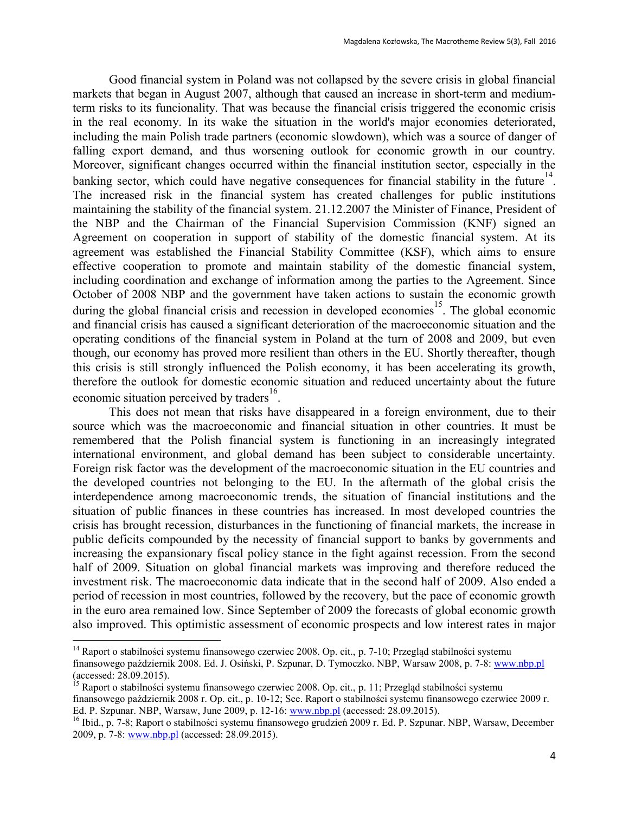Good financial system in Poland was not collapsed by the severe crisis in global financial markets that began in August 2007, although that caused an increase in short-term and mediumterm risks to its funcionality. That was because the financial crisis triggered the economic crisis in the real economy. In its wake the situation in the world's major economies deteriorated, including the main Polish trade partners (economic slowdown), which was a source of danger of falling export demand, and thus worsening outlook for economic growth in our country. Moreover, significant changes occurred within the financial institution sector, especially in the banking sector, which could have negative consequences for financial stability in the future  $14$ . The increased risk in the financial system has created challenges for public institutions maintaining the stability of the financial system. 21.12.2007 the Minister of Finance, President of the NBP and the Chairman of the Financial Supervision Commission (KNF) signed an Agreement on cooperation in support of stability of the domestic financial system. At its agreement was established the Financial Stability Committee (KSF), which aims to ensure effective cooperation to promote and maintain stability of the domestic financial system, including coordination and exchange of information among the parties to the Agreement. Since October of 2008 NBP and the government have taken actions to sustain the economic growth during the global financial crisis and recession in developed economies<sup>15</sup>. The global economic and financial crisis has caused a significant deterioration of the macroeconomic situation and the operating conditions of the financial system in Poland at the turn of 2008 and 2009, but even though, our economy has proved more resilient than others in the EU. Shortly thereafter, though this crisis is still strongly influenced the Polish economy, it has been accelerating its growth, therefore the outlook for domestic economic situation and reduced uncertainty about the future economic situation perceived by traders<sup>16</sup>.

This does not mean that risks have disappeared in a foreign environment, due to their source which was the macroeconomic and financial situation in other countries. It must be remembered that the Polish financial system is functioning in an increasingly integrated international environment, and global demand has been subject to considerable uncertainty. Foreign risk factor was the development of the macroeconomic situation in the EU countries and the developed countries not belonging to the EU. In the aftermath of the global crisis the interdependence among macroeconomic trends, the situation of financial institutions and the situation of public finances in these countries has increased. In most developed countries the crisis has brought recession, disturbances in the functioning of financial markets, the increase in public deficits compounded by the necessity of financial support to banks by governments and increasing the expansionary fiscal policy stance in the fight against recession. From the second half of 2009. Situation on global financial markets was improving and therefore reduced the investment risk. The macroeconomic data indicate that in the second half of 2009. Also ended a period of recession in most countries, followed by the recovery, but the pace of economic growth in the euro area remained low. Since September of 2009 the forecasts of global economic growth also improved. This optimistic assessment of economic prospects and low interest rates in major

 $\ddot{\phantom{a}}$ 

<sup>15</sup> Raport o stabilności systemu finansowego czerwiec 2008. Op. cit., p. 11; Przegląd stabilności systemu finansowego październik 2008 r. Op. cit., p. 10-12; See. Raport o stabilności systemu finansowego czerwiec 2009 r. Ed. P. Szpunar. NBP, Warsaw, June 2009, p. 12-16: [www.nbp.pl](http://www.nbp.pl/) (accessed: 28.09.2015).

<sup>&</sup>lt;sup>14</sup> Raport o stabilności systemu finansowego czerwiec 2008. Op. cit., p. 7-10; Przegląd stabilności systemu finansowego październik 2008. Ed. J. Osiński, P. Szpunar, D. Tymoczko. NBP, Warsaw 2008, p. 7-8: [www.nbp.pl](http://www.nbp.pl/) (accessed: 28.09.2015).

<sup>&</sup>lt;sup>16</sup> Ibid., p. 7-8; Raport o stabilności systemu finansowego grudzień 2009 r. Ed. P. Szpunar. NBP, Warsaw, December 2009, p. 7-8: [www.nbp.pl](http://www.nbp.pl/) (accessed: 28.09.2015).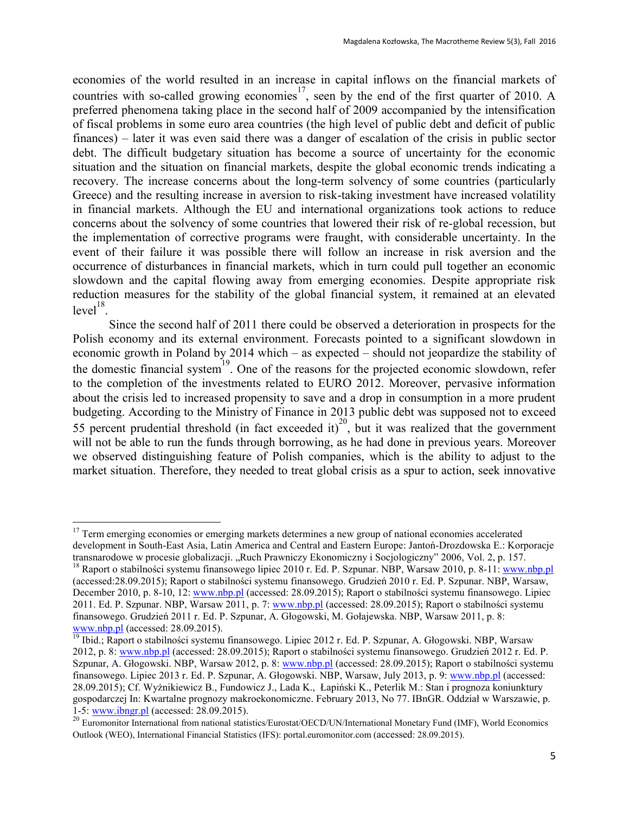economies of the world resulted in an increase in capital inflows on the financial markets of countries with so-called growing economies<sup>17</sup>, seen by the end of the first quarter of 2010. A preferred phenomena taking place in the second half of 2009 accompanied by the intensification of fiscal problems in some euro area countries (the high level of public debt and deficit of public finances) – later it was even said there was a danger of escalation of the crisis in public sector debt. The difficult budgetary situation has become a source of uncertainty for the economic situation and the situation on financial markets, despite the global economic trends indicating a recovery. The increase concerns about the long-term solvency of some countries (particularly Greece) and the resulting increase in aversion to risk-taking investment have increased volatility in financial markets. Although the EU and international organizations took actions to reduce concerns about the solvency of some countries that lowered their risk of re-global recession, but the implementation of corrective programs were fraught, with considerable uncertainty. In the event of their failure it was possible there will follow an increase in risk aversion and the occurrence of disturbances in financial markets, which in turn could pull together an economic slowdown and the capital flowing away from emerging economies. Despite appropriate risk reduction measures for the stability of the global financial system, it remained at an elevated  $level<sup>18</sup>$ .

Since the second half of 2011 there could be observed a deterioration in prospects for the Polish economy and its external environment. Forecasts pointed to a significant slowdown in economic growth in Poland by 2014 which – as expected – should not jeopardize the stability of the domestic financial system<sup>19</sup>. One of the reasons for the projected economic slowdown, refer to the completion of the investments related to EURO 2012. Moreover, pervasive information about the crisis led to increased propensity to save and a drop in consumption in a more prudent budgeting. According to the Ministry of Finance in 2013 public debt was supposed not to exceed 55 percent prudential threshold (in fact exceeded it)<sup>20</sup>, but it was realized that the government will not be able to run the funds through borrowing, as he had done in previous years. Moreover we observed distinguishing feature of Polish companies, which is the ability to adjust to the market situation. Therefore, they needed to treat global crisis as a spur to action, seek innovative

<sup>&</sup>lt;sup>17</sup> Term emerging economies or emerging markets determines a new group of national economies accelerated development in South-East Asia, Latin America and Central and Eastern Europe: Jantoń-Drozdowska E.: Korporacje transnarodowe w procesie globalizacji. "Ruch Prawniczy Ekonomiczny i Socjologiczny" 2006, Vol. 2, p. 157.

<sup>&</sup>lt;sup>18</sup> Raport o stabilności systemu finansowego lipiec 2010 r. Ed. P. Szpunar. NBP, Warsaw 2010, p. 8-11[: www.nbp.pl](http://www.nbp.pl/) (accessed:28.09.2015); Raport o stabilności systemu finansowego. Grudzień 2010 r. Ed. P. Szpunar. NBP, Warsaw, December 2010, p. 8-10, 12: [www.nbp.pl](http://www.nbp.pl/) (accessed: 28.09.2015); Raport o stabilności systemu finansowego. Lipiec 2011. Ed. P. Szpunar. NBP, Warsaw 2011, p. 7: [www.nbp.pl](http://www.nbp.pl/) (accessed: 28.09.2015); Raport o stabilności systemu finansowego. Grudzień 2011 r. Ed. P. Szpunar, A. Głogowski, M. Gołajewska. NBP, Warsaw 2011, p. 8: [www.nbp.pl](http://www.nbp.pl/) (accessed: 28.09.2015).

<sup>&</sup>lt;sup>19</sup> Ibid.; Raport o stabilności systemu finansowego. Lipiec 2012 r. Ed. P. Szpunar, A. Głogowski. NBP, Warsaw 2012, p. 8: [www.nbp.pl](http://www.nbp.pl/) (accessed: 28.09.2015); Raport o stabilności systemu finansowego. Grudzień 2012 r. Ed. P. Szpunar, A. Głogowski. NBP, Warsaw 2012, p. 8[: www.nbp.pl](http://www.nbp.pl/) (accessed: 28.09.2015); Raport o stabilności systemu finansowego. Lipiec 2013 r. Ed. P. Szpunar, A. Głogowski. NBP, Warsaw, July 2013, p. 9: [www.nbp.pl](http://www.nbp.pl/) (accessed: 28.09.2015); Cf. Wyżnikiewicz B., Fundowicz J., Lada K., Łapiński K., Peterlik M.: Stan i prognoza koniunktury gospodarczej In: Kwartalne prognozy makroekonomiczne. February 2013, No 77. IBnGR. Oddział w Warszawie, p. 1-5: [www.ibngr.pl](http://www.ibngr.pl/) (accessed: 28.09.2015).

<sup>&</sup>lt;sup>20</sup> Euromonitor International from national statistics/Eurostat/OECD/UN/International Monetary Fund (IMF), World Economics Outlook (WEO), International Financial Statistics (IFS): portal.euromonitor.com (accessed: 28.09.2015).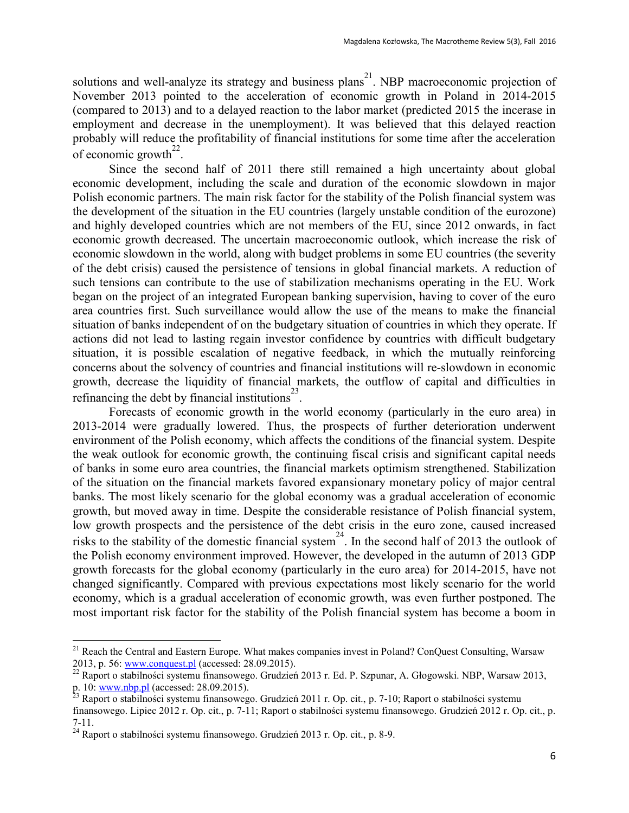solutions and well-analyze its strategy and business plans<sup>21</sup>. NBP macroeconomic projection of November 2013 pointed to the acceleration of economic growth in Poland in 2014-2015 (compared to 2013) and to a delayed reaction to the labor market (predicted 2015 the incerase in employment and decrease in the unemployment). It was believed that this delayed reaction probably will reduce the profitability of financial institutions for some time after the acceleration of economic growth<sup>22</sup>.

Since the second half of 2011 there still remained a high uncertainty about global economic development, including the scale and duration of the economic slowdown in major Polish economic partners. The main risk factor for the stability of the Polish financial system was the development of the situation in the EU countries (largely unstable condition of the eurozone) and highly developed countries which are not members of the EU, since 2012 onwards, in fact economic growth decreased. The uncertain macroeconomic outlook, which increase the risk of economic slowdown in the world, along with budget problems in some EU countries (the severity of the debt crisis) caused the persistence of tensions in global financial markets. A reduction of such tensions can contribute to the use of stabilization mechanisms operating in the EU. Work began on the project of an integrated European banking supervision, having to cover of the euro area countries first. Such surveillance would allow the use of the means to make the financial situation of banks independent of on the budgetary situation of countries in which they operate. If actions did not lead to lasting regain investor confidence by countries with difficult budgetary situation, it is possible escalation of negative feedback, in which the mutually reinforcing concerns about the solvency of countries and financial institutions will re-slowdown in economic growth, decrease the liquidity of financial markets, the outflow of capital and difficulties in refinancing the debt by financial institutions<sup>23</sup>.

Forecasts of economic growth in the world economy (particularly in the euro area) in 2013-2014 were gradually lowered. Thus, the prospects of further deterioration underwent environment of the Polish economy, which affects the conditions of the financial system. Despite the weak outlook for economic growth, the continuing fiscal crisis and significant capital needs of banks in some euro area countries, the financial markets optimism strengthened. Stabilization of the situation on the financial markets favored expansionary monetary policy of major central banks. The most likely scenario for the global economy was a gradual acceleration of economic growth, but moved away in time. Despite the considerable resistance of Polish financial system, low growth prospects and the persistence of the debt crisis in the euro zone, caused increased risks to the stability of the domestic financial system<sup>24</sup>. In the second half of 2013 the outlook of the Polish economy environment improved. However, the developed in the autumn of 2013 GDP growth forecasts for the global economy (particularly in the euro area) for 2014-2015, have not changed significantly. Compared with previous expectations most likely scenario for the world economy, which is a gradual acceleration of economic growth, was even further postponed. The most important risk factor for the stability of the Polish financial system has become a boom in

 $\ddot{\phantom{a}}$ 

<sup>&</sup>lt;sup>21</sup> Reach the Central and Eastern Europe. What makes companies invest in Poland? ConQuest Consulting, Warsaw 2013, p. 56: [www.conquest.pl](http://www.conquest.pl/) (accessed: 28.09.2015).

<sup>&</sup>lt;sup>22</sup> Raport o stabilności systemu finansowego. Grudzień 2013 r. Ed. P. Szpunar, A. Głogowski. NBP, Warsaw 2013, p. 10: [www.nbp.pl](http://www.nbp.pl/) (accessed: 28.09.2015).

<sup>&</sup>lt;sup>23</sup> Raport o stabilności systemu finansowego. Grudzień 2011 r. Op. cit., p. 7-10; Raport o stabilności systemu finansowego. Lipiec 2012 r. Op. cit., p. 7-11; Raport o stabilności systemu finansowego. Grudzień 2012 r. Op. cit., p.

<sup>7-11.</sup> 

 $^{24}$  Raport o stabilności systemu finansowego. Grudzień 2013 r. Op. cit., p. 8-9.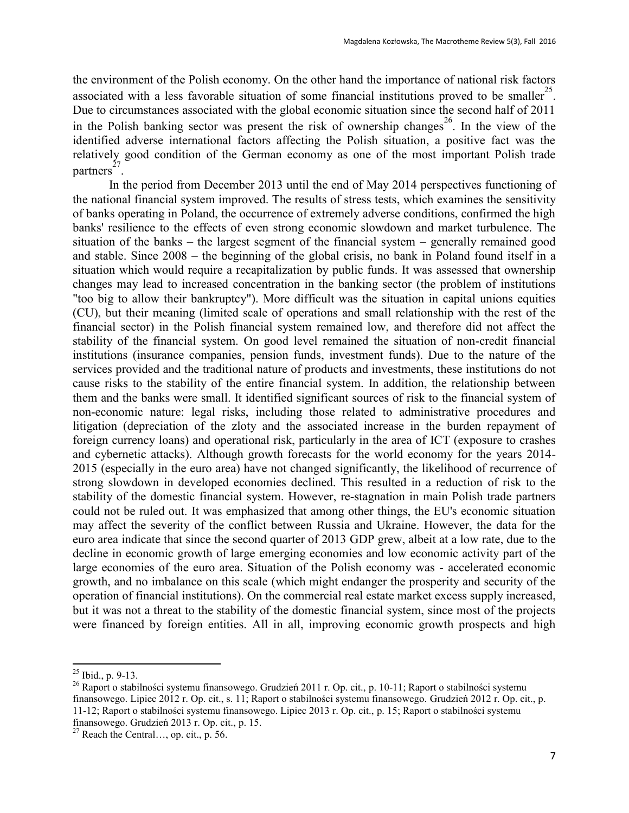the environment of the Polish economy. On the other hand the importance of national risk factors associated with a less favorable situation of some financial institutions proved to be smaller<sup>25</sup>. Due to circumstances associated with the global economic situation since the second half of 2011 in the Polish banking sector was present the risk of ownership changes<sup>26</sup>. In the view of the identified adverse international factors affecting the Polish situation, a positive fact was the relatively good condition of the German economy as one of the most important Polish trade partners 27 .

In the period from December 2013 until the end of May 2014 perspectives functioning of the national financial system improved. The results of stress tests, which examines the sensitivity of banks operating in Poland, the occurrence of extremely adverse conditions, confirmed the high banks' resilience to the effects of even strong economic slowdown and market turbulence. The situation of the banks – the largest segment of the financial system – generally remained good and stable. Since 2008 – the beginning of the global crisis, no bank in Poland found itself in a situation which would require a recapitalization by public funds. It was assessed that ownership changes may lead to increased concentration in the banking sector (the problem of institutions "too big to allow their bankruptcy"). More difficult was the situation in capital unions equities (CU), but their meaning (limited scale of operations and small relationship with the rest of the financial sector) in the Polish financial system remained low, and therefore did not affect the stability of the financial system. On good level remained the situation of non-credit financial institutions (insurance companies, pension funds, investment funds). Due to the nature of the services provided and the traditional nature of products and investments, these institutions do not cause risks to the stability of the entire financial system. In addition, the relationship between them and the banks were small. It identified significant sources of risk to the financial system of non-economic nature: legal risks, including those related to administrative procedures and litigation (depreciation of the zloty and the associated increase in the burden repayment of foreign currency loans) and operational risk, particularly in the area of ICT (exposure to crashes and cybernetic attacks). Although growth forecasts for the world economy for the years 2014- 2015 (especially in the euro area) have not changed significantly, the likelihood of recurrence of strong slowdown in developed economies declined. This resulted in a reduction of risk to the stability of the domestic financial system. However, re-stagnation in main Polish trade partners could not be ruled out. It was emphasized that among other things, the EU's economic situation may affect the severity of the conflict between Russia and Ukraine. However, the data for the euro area indicate that since the second quarter of 2013 GDP grew, albeit at a low rate, due to the decline in economic growth of large emerging economies and low economic activity part of the large economies of the euro area. Situation of the Polish economy was - accelerated economic growth, and no imbalance on this scale (which might endanger the prosperity and security of the operation of financial institutions). On the commercial real estate market excess supply increased, but it was not a threat to the stability of the domestic financial system, since most of the projects were financed by foreign entities. All in all, improving economic growth prospects and high

 $^{25}$  Ibid., p. 9-13.

<sup>&</sup>lt;sup>26</sup> Raport o stabilności systemu finansowego. Grudzień 2011 r. Op. cit., p. 10-11; Raport o stabilności systemu finansowego. Lipiec 2012 r. Op. cit., s. 11; Raport o stabilności systemu finansowego. Grudzień 2012 r. Op. cit., p. 11-12; Raport o stabilności systemu finansowego. Lipiec 2013 r. Op. cit., p. 15; Raport o stabilności systemu finansowego. Grudzień 2013 r. Op. cit., p. 15.

<sup>&</sup>lt;sup>27</sup> Reach the Central..., op. cit., p. 56.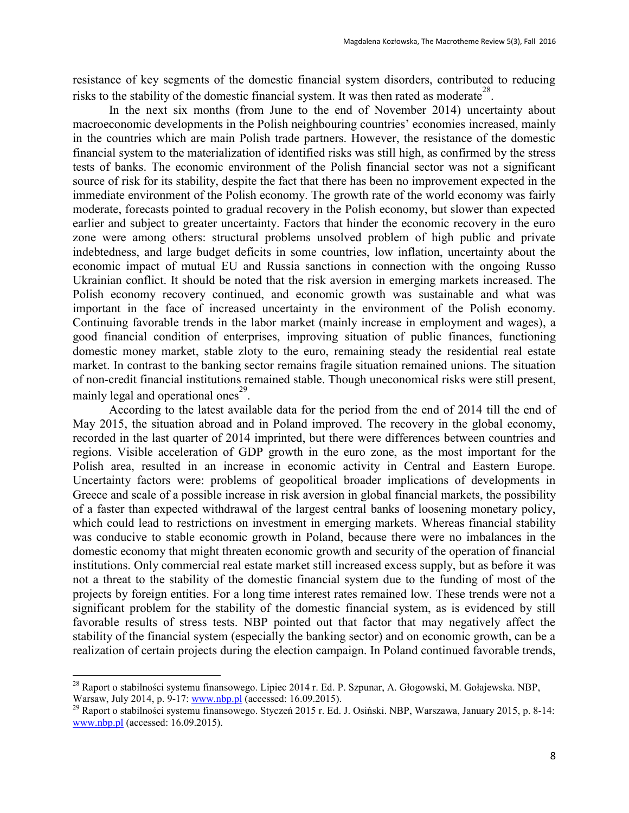resistance of key segments of the domestic financial system disorders, contributed to reducing risks to the stability of the domestic financial system. It was then rated as moderate<sup>28</sup>.

In the next six months (from June to the end of November 2014) uncertainty about macroeconomic developments in the Polish neighbouring countries' economies increased, mainly in the countries which are main Polish trade partners. However, the resistance of the domestic financial system to the materialization of identified risks was still high, as confirmed by the stress tests of banks. The economic environment of the Polish financial sector was not a significant source of risk for its stability, despite the fact that there has been no improvement expected in the immediate environment of the Polish economy. The growth rate of the world economy was fairly moderate, forecasts pointed to gradual recovery in the Polish economy, but slower than expected earlier and subject to greater uncertainty. Factors that hinder the economic recovery in the euro zone were among others: structural problems unsolved problem of high public and private indebtedness, and large budget deficits in some countries, low inflation, uncertainty about the economic impact of mutual EU and Russia sanctions in connection with the ongoing Russo Ukrainian conflict. It should be noted that the risk aversion in emerging markets increased. The Polish economy recovery continued, and economic growth was sustainable and what was important in the face of increased uncertainty in the environment of the Polish economy. Continuing favorable trends in the labor market (mainly increase in employment and wages), a good financial condition of enterprises, improving situation of public finances, functioning domestic money market, stable zloty to the euro, remaining steady the residential real estate market. In contrast to the banking sector remains fragile situation remained unions. The situation of non-credit financial institutions remained stable. Though uneconomical risks were still present, mainly legal and operational ones<sup>29</sup>.

According to the latest available data for the period from the end of 2014 till the end of May 2015, the situation abroad and in Poland improved. The recovery in the global economy, recorded in the last quarter of 2014 imprinted, but there were differences between countries and regions. Visible acceleration of GDP growth in the euro zone, as the most important for the Polish area, resulted in an increase in economic activity in Central and Eastern Europe. Uncertainty factors were: problems of geopolitical broader implications of developments in Greece and scale of a possible increase in risk aversion in global financial markets, the possibility of a faster than expected withdrawal of the largest central banks of loosening monetary policy, which could lead to restrictions on investment in emerging markets. Whereas financial stability was conducive to stable economic growth in Poland, because there were no imbalances in the domestic economy that might threaten economic growth and security of the operation of financial institutions. Only commercial real estate market still increased excess supply, but as before it was not a threat to the stability of the domestic financial system due to the funding of most of the projects by foreign entities. For a long time interest rates remained low. These trends were not a significant problem for the stability of the domestic financial system, as is evidenced by still favorable results of stress tests. NBP pointed out that factor that may negatively affect the stability of the financial system (especially the banking sector) and on economic growth, can be a realization of certain projects during the election campaign. In Poland continued favorable trends,

 $\ddot{\phantom{a}}$ 

<sup>&</sup>lt;sup>28</sup> Raport o stabilności systemu finansowego. Lipiec 2014 r. Ed. P. Szpunar, A. Głogowski, M. Gołajewska. NBP, Warsaw, July 2014, p. 9-17: [www.nbp.pl](http://www.nbp.pl/) (accessed: 16.09.2015).

<sup>&</sup>lt;sup>29</sup> Raport o stabilności systemu finansowego. Styczeń 2015 r. Ed. J. Osiński. NBP, Warszawa, January 2015, p. 8-14: [www.nbp.pl](http://www.nbp.pl/) (accessed: 16.09.2015).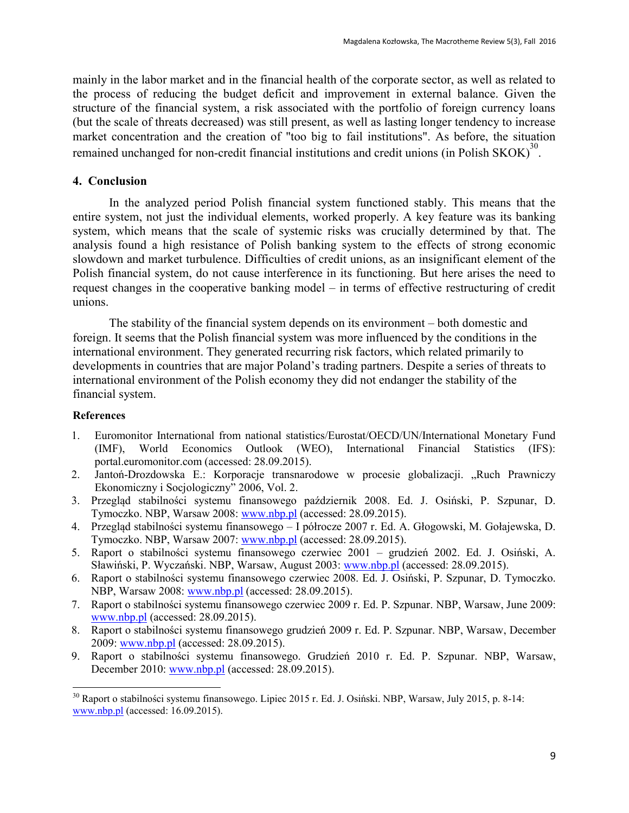mainly in the labor market and in the financial health of the corporate sector, as well as related to the process of reducing the budget deficit and improvement in external balance. Given the structure of the financial system, a risk associated with the portfolio of foreign currency loans (but the scale of threats decreased) was still present, as well as lasting longer tendency to increase market concentration and the creation of "too big to fail institutions". As before, the situation remained unchanged for non-credit financial institutions and credit unions (in Polish SKOK) $^{30}$ .

#### **4. Conclusion**

In the analyzed period Polish financial system functioned stably. This means that the entire system, not just the individual elements, worked properly. A key feature was its banking system, which means that the scale of systemic risks was crucially determined by that. The analysis found a high resistance of Polish banking system to the effects of strong economic slowdown and market turbulence. Difficulties of credit unions, as an insignificant element of the Polish financial system, do not cause interference in its functioning. But here arises the need to request changes in the cooperative banking model – in terms of effective restructuring of credit unions.

The stability of the financial system depends on its environment – both domestic and foreign. It seems that the Polish financial system was more influenced by the conditions in the international environment. They generated recurring risk factors, which related primarily to developments in countries that are major Poland's trading partners. Despite a series of threats to international environment of the Polish economy they did not endanger the stability of the financial system.

#### **References**

- 1. Euromonitor International from national statistics/Eurostat/OECD/UN/International Monetary Fund (IMF), World Economics Outlook (WEO), International Financial Statistics (IFS): portal.euromonitor.com (accessed: 28.09.2015).
- 2. Jantoń-Drozdowska E.: Korporacje transnarodowe w procesie globalizacji. "Ruch Prawniczy Ekonomiczny i Socjologiczny" 2006, Vol. 2.
- 3. Przegląd stabilności systemu finansowego październik 2008. Ed. J. Osiński, P. Szpunar, D. Tymoczko. NBP, Warsaw 2008: [www.nbp.pl](http://www.nbp.pl/) (accessed: 28.09.2015).
- 4. Przegląd stabilności systemu finansowego I półrocze 2007 r. Ed. A. Głogowski, M. Gołajewska, D. Tymoczko. NBP, Warsaw 2007: [www.nbp.pl](http://www.nbp.pl/) (accessed: 28.09.2015).
- 5. Raport o stabilności systemu finansowego czerwiec 2001 grudzień 2002. Ed. J. Osiński, A. Sławiński, P. Wyczański. NBP, Warsaw, August 2003: [www.nbp.pl](http://www.nbp.pl/) (accessed: 28.09.2015).
- 6. Raport o stabilności systemu finansowego czerwiec 2008. Ed. J. Osiński, P. Szpunar, D. Tymoczko. NBP, Warsaw 2008: [www.nbp.pl](http://www.nbp.pl/) (accessed: 28.09.2015).
- 7. Raport o stabilności systemu finansowego czerwiec 2009 r. Ed. P. Szpunar. NBP, Warsaw, June 2009: [www.nbp.pl](http://www.nbp.pl/) (accessed: 28.09.2015).
- 8. Raport o stabilności systemu finansowego grudzień 2009 r. Ed. P. Szpunar. NBP, Warsaw, December 2009: [www.nbp.pl](http://www.nbp.pl/) (accessed: 28.09.2015).
- 9. Raport o stabilności systemu finansowego. Grudzień 2010 r. Ed. P. Szpunar. NBP, Warsaw, December 2010: [www.nbp.pl](http://www.nbp.pl/) (accessed: 28.09.2015).

<sup>&</sup>lt;sup>30</sup> Raport o stabilności systemu finansowego. Lipiec 2015 r. Ed. J. Osiński. NBP, Warsaw, July 2015, p. 8-14: [www.nbp.pl](http://www.nbp.pl/) (accessed: 16.09.2015).